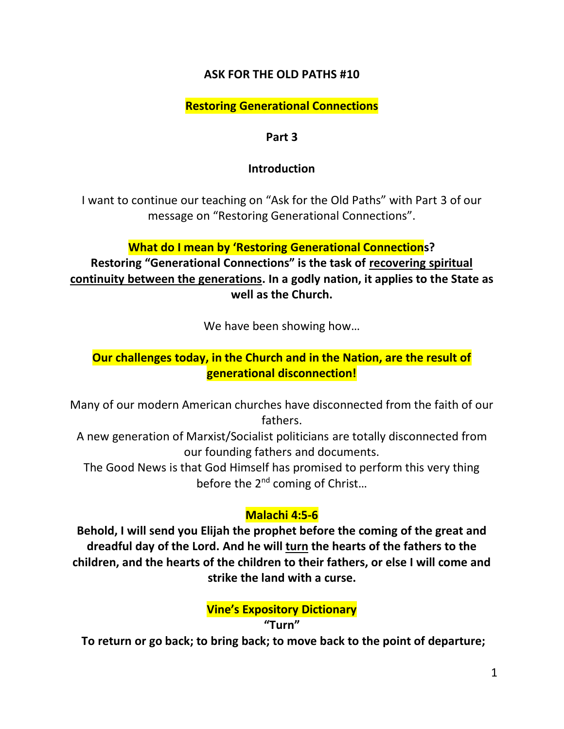## **ASK FOR THE OLD PATHS #10**

## **Restoring Generational Connections**

### **Part 3**

## **Introduction**

I want to continue our teaching on "Ask for the Old Paths" with Part 3 of our message on "Restoring Generational Connections".

## **What do I mean by 'Restoring Generational Connections?**

**Restoring "Generational Connections" is the task of recovering spiritual continuity between the generations. In a godly nation, it applies to the State as well as the Church.**

We have been showing how…

# **Our challenges today, in the Church and in the Nation, are the result of generational disconnection!**

Many of our modern American churches have disconnected from the faith of our fathers.

A new generation of Marxist/Socialist politicians are totally disconnected from our founding fathers and documents.

The Good News is that God Himself has promised to perform this very thing before the 2<sup>nd</sup> coming of Christ...

# **Malachi 4:5-6**

**Behold, I will send you Elijah the prophet before the coming of the great and dreadful day of the Lord. And he will turn the hearts of the fathers to the children, and the hearts of the children to their fathers, or else I will come and strike the land with a curse.**

**Vine's Expository Dictionary**

## **"Turn"**

**To return or go back; to bring back; to move back to the point of departure;**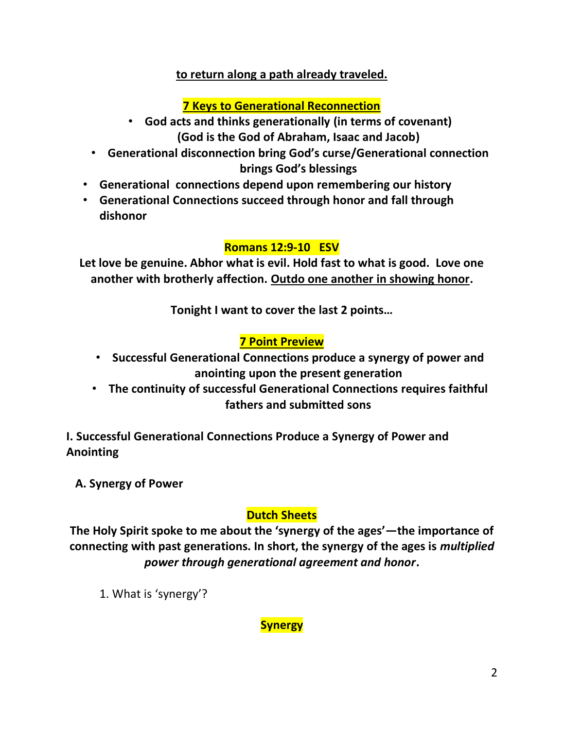## **to return along a path already traveled.**

# **7 Keys to Generational Reconnection**

- **God acts and thinks generationally (in terms of covenant) (God is the God of Abraham, Isaac and Jacob)**
- **Generational disconnection bring God's curse/Generational connection brings God's blessings**
- **Generational connections depend upon remembering our history**
- **Generational Connections succeed through honor and fall through dishonor**

## **Romans 12:9-10 ESV**

**Let love be genuine. Abhor what is evil. Hold fast to what is good. Love one another with brotherly affection. Outdo one another in showing honor.**

**Tonight I want to cover the last 2 points…**

# **7 Point Preview**

- **Successful Generational Connections produce a synergy of power and anointing upon the present generation**
- **The continuity of successful Generational Connections requires faithful fathers and submitted sons**

**I. Successful Generational Connections Produce a Synergy of Power and Anointing**

 **A. Synergy of Power**

# **Dutch Sheets**

**The Holy Spirit spoke to me about the 'synergy of the ages'—the importance of connecting with past generations. In short, the synergy of the ages is** *multiplied power through generational agreement and honor***.**

1. What is 'synergy'?

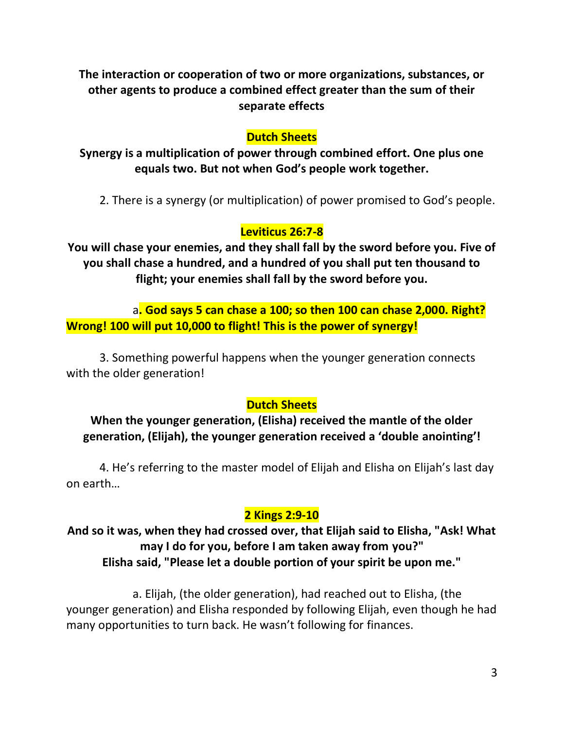**The interaction or cooperation of two or more organizations, substances, or other agents to produce a combined effect greater than the sum of their separate effects**

### **Dutch Sheets**

**Synergy is a multiplication of power through combined effort. One plus one equals two. But not when God's people work together.**

2. There is a synergy (or multiplication) of power promised to God's people.

## **Leviticus 26:7-8**

**You will chase your enemies, and they shall fall by the sword before you. Five of you shall chase a hundred, and a hundred of you shall put ten thousand to flight; your enemies shall fall by the sword before you.**

a**. God says 5 can chase a 100; so then 100 can chase 2,000. Right? Wrong! 100 will put 10,000 to flight! This is the power of synergy!**

3. Something powerful happens when the younger generation connects with the older generation!

## **Dutch Sheets**

**When the younger generation, (Elisha) received the mantle of the older generation, (Elijah), the younger generation received a 'double anointing'!**

4. He's referring to the master model of Elijah and Elisha on Elijah's last day on earth…

## **2 Kings 2:9-10**

# **And so it was, when they had crossed over, that Elijah said to Elisha, "Ask! What may I do for you, before I am taken away from you?" Elisha said, "Please let a double portion of your spirit be upon me."**

a. Elijah, (the older generation), had reached out to Elisha, (the younger generation) and Elisha responded by following Elijah, even though he had many opportunities to turn back. He wasn't following for finances.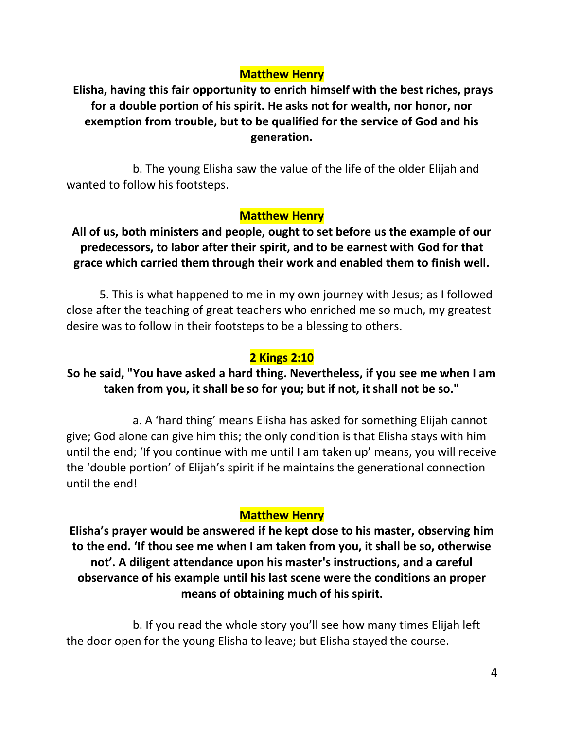## **Matthew Henry**

**Elisha, having this fair opportunity to enrich himself with the best riches, prays for a double portion of his spirit. He asks not for wealth, nor honor, nor exemption from trouble, but to be qualified for the service of God and his generation.**

b. The young Elisha saw the value of the life of the older Elijah and wanted to follow his footsteps.

## **Matthew Henry**

**All of us, both ministers and people, ought to set before us the example of our predecessors, to labor after their spirit, and to be earnest with God for that grace which carried them through their work and enabled them to finish well.**

5. This is what happened to me in my own journey with Jesus; as I followed close after the teaching of great teachers who enriched me so much, my greatest desire was to follow in their footsteps to be a blessing to others.

### **2 Kings 2:10**

## **So he said, "You have asked a hard thing. Nevertheless, if you see me when I am taken from you, it shall be so for you; but if not, it shall not be so."**

a. A 'hard thing' means Elisha has asked for something Elijah cannot give; God alone can give him this; the only condition is that Elisha stays with him until the end; 'If you continue with me until I am taken up' means, you will receive the 'double portion' of Elijah's spirit if he maintains the generational connection until the end!

## **Matthew Henry**

**Elisha's prayer would be answered if he kept close to his master, observing him to the end. 'If thou see me when I am taken from you, it shall be so, otherwise not'. A diligent attendance upon his master's instructions, and a careful observance of his example until his last scene were the conditions an proper means of obtaining much of his spirit.**

b. If you read the whole story you'll see how many times Elijah left the door open for the young Elisha to leave; but Elisha stayed the course.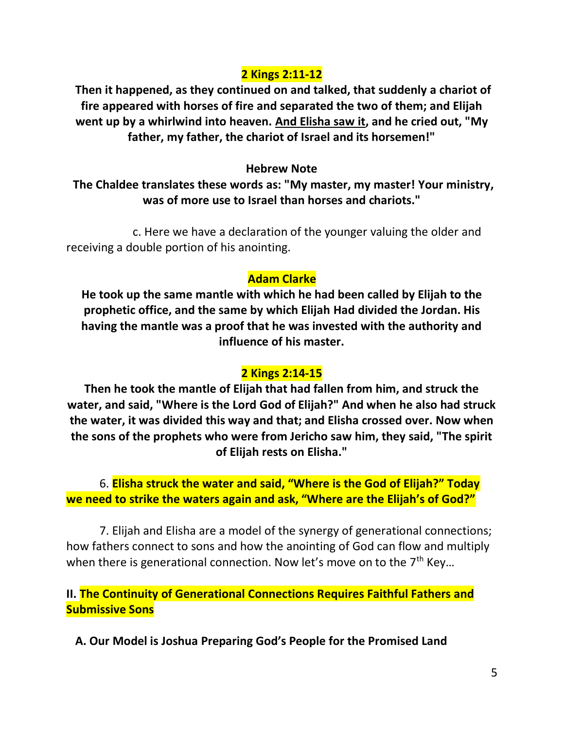## **2 Kings 2:11-12**

**Then it happened, as they continued on and talked, that suddenly a chariot of fire appeared with horses of fire and separated the two of them; and Elijah went up by a whirlwind into heaven. And Elisha saw it, and he cried out, "My father, my father, the chariot of Israel and its horsemen!"** 

### **Hebrew Note**

**The Chaldee translates these words as: "My master, my master! Your ministry, was of more use to Israel than horses and chariots."** 

c. Here we have a declaration of the younger valuing the older and receiving a double portion of his anointing.

## **Adam Clarke**

**He took up the same mantle with which he had been called by Elijah to the prophetic office, and the same by which Elijah Had divided the Jordan. His having the mantle was a proof that he was invested with the authority and influence of his master.** 

## **2 Kings 2:14-15**

**Then he took the mantle of Elijah that had fallen from him, and struck the water, and said, "Where is the Lord God of Elijah?" And when he also had struck the water, it was divided this way and that; and Elisha crossed over. Now when the sons of the prophets who were from Jericho saw him, they said, "The spirit of Elijah rests on Elisha."** 

6. **Elisha struck the water and said, "Where is the God of Elijah?" Today we need to strike the waters again and ask, "Where are the Elijah's of God?"**

7. Elijah and Elisha are a model of the synergy of generational connections; how fathers connect to sons and how the anointing of God can flow and multiply when there is generational connection. Now let's move on to the  $7<sup>th</sup>$  Key...

**II. The Continuity of Generational Connections Requires Faithful Fathers and Submissive Sons**

 **A. Our Model is Joshua Preparing God's People for the Promised Land**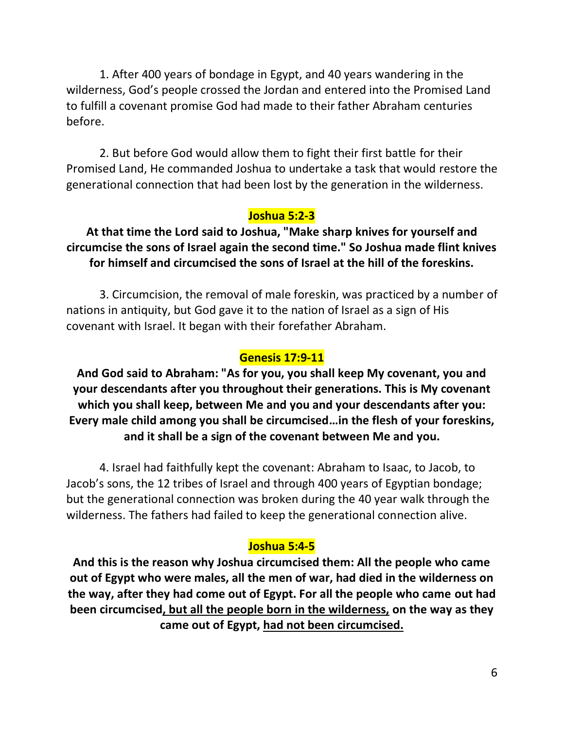1. After 400 years of bondage in Egypt, and 40 years wandering in the wilderness, God's people crossed the Jordan and entered into the Promised Land to fulfill a covenant promise God had made to their father Abraham centuries before.

2. But before God would allow them to fight their first battle for their Promised Land, He commanded Joshua to undertake a task that would restore the generational connection that had been lost by the generation in the wilderness.

## **Joshua 5:2-3**

# **At that time the Lord said to Joshua, "Make sharp knives for yourself and circumcise the sons of Israel again the second time." So Joshua made flint knives for himself and circumcised the sons of Israel at the hill of the foreskins.**

3. Circumcision, the removal of male foreskin, was practiced by a number of nations in antiquity, but God gave it to the nation of Israel as a sign of His covenant with Israel. It began with their forefather Abraham.

## **Genesis 17:9-11**

**And God said to Abraham: "As for you, you shall keep My covenant, you and your descendants after you throughout their generations. This is My covenant which you shall keep, between Me and you and your descendants after you: Every male child among you shall be circumcised…in the flesh of your foreskins, and it shall be a sign of the covenant between Me and you.**

4. Israel had faithfully kept the covenant: Abraham to Isaac, to Jacob, to Jacob's sons, the 12 tribes of Israel and through 400 years of Egyptian bondage; but the generational connection was broken during the 40 year walk through the wilderness. The fathers had failed to keep the generational connection alive.

### **Joshua 5:4-5**

**And this is the reason why Joshua circumcised them: All the people who came out of Egypt who were males, all the men of war, had died in the wilderness on the way, after they had come out of Egypt. For all the people who came out had been circumcised, but all the people born in the wilderness, on the way as they came out of Egypt, had not been circumcised.**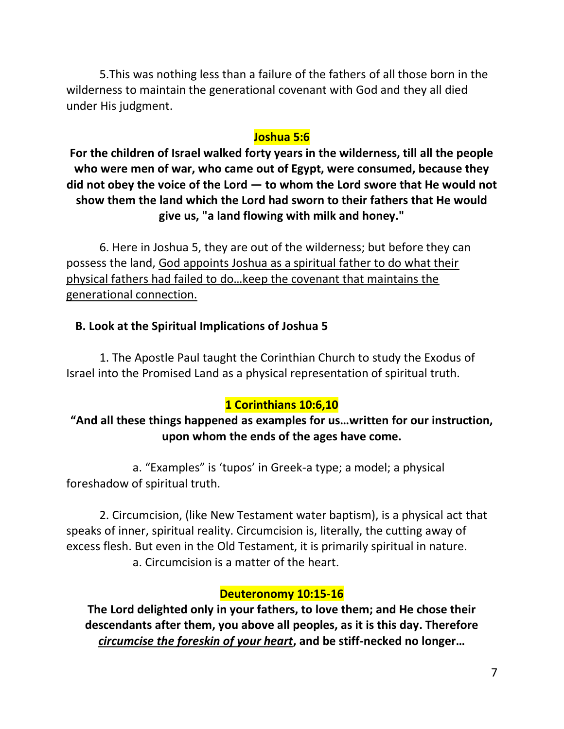5.This was nothing less than a failure of the fathers of all those born in the wilderness to maintain the generational covenant with God and they all died under His judgment.

# **Joshua 5:6**

**For the children of Israel walked forty years in the wilderness, till all the people who were men of war, who came out of Egypt, were consumed, because they did not obey the voice of the Lord — to whom the Lord swore that He would not show them the land which the Lord had sworn to their fathers that He would give us, "a land flowing with milk and honey."**

6. Here in Joshua 5, they are out of the wilderness; but before they can possess the land, God appoints Joshua as a spiritual father to do what their physical fathers had failed to do…keep the covenant that maintains the generational connection.

# **B. Look at the Spiritual Implications of Joshua 5**

1. The Apostle Paul taught the Corinthian Church to study the Exodus of Israel into the Promised Land as a physical representation of spiritual truth.

# **1 Corinthians 10:6,10**

# **"And all these things happened as examples for us…written for our instruction, upon whom the ends of the ages have come.**

a. "Examples" is 'tupos' in Greek-a type; a model; a physical foreshadow of spiritual truth.

2. Circumcision, (like New Testament water baptism), is a physical act that speaks of inner, spiritual reality. Circumcision is, literally, the cutting away of excess flesh. But even in the Old Testament, it is primarily spiritual in nature. a. Circumcision is a matter of the heart.

# **Deuteronomy 10:15-16**

**The Lord delighted only in your fathers, to love them; and He chose their descendants after them, you above all peoples, as it is this day. Therefore**  *circumcise the foreskin of your heart***, and be stiff-necked no longer…**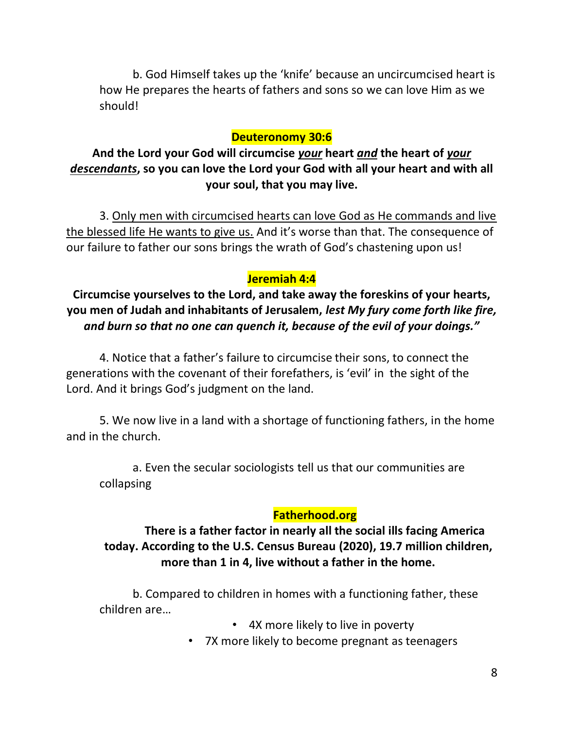b. God Himself takes up the 'knife' because an uncircumcised heart is how He prepares the hearts of fathers and sons so we can love Him as we should!

### **Deuteronomy 30:6**

**And the Lord your God will circumcise** *your* **heart** *and* **the heart of** *your descendants***, so you can love the Lord your God with all your heart and with all your soul, that you may live.** 

3. Only men with circumcised hearts can love God as He commands and live the blessed life He wants to give us. And it's worse than that. The consequence of our failure to father our sons brings the wrath of God's chastening upon us!

### **Jeremiah 4:4**

**Circumcise yourselves to the Lord, and take away the foreskins of your hearts, you men of Judah and inhabitants of Jerusalem,** *lest My fury come forth like fire, and burn so that no one can quench it, because of the evil of your doings."* 

4. Notice that a father's failure to circumcise their sons, to connect the generations with the covenant of their forefathers, is 'evil' in the sight of the Lord. And it brings God's judgment on the land.

5. We now live in a land with a shortage of functioning fathers, in the home and in the church.

a. Even the secular sociologists tell us that our communities are collapsing

### **Fatherhood.org**

## **There is a father factor in nearly all the social ills facing America today. According to the U.S. Census Bureau (2020), 19.7 million children, more than 1 in 4, live without a father in the home.**

b. Compared to children in homes with a functioning father, these children are…

- 4X more likely to live in poverty
- 7X more likely to become pregnant as teenagers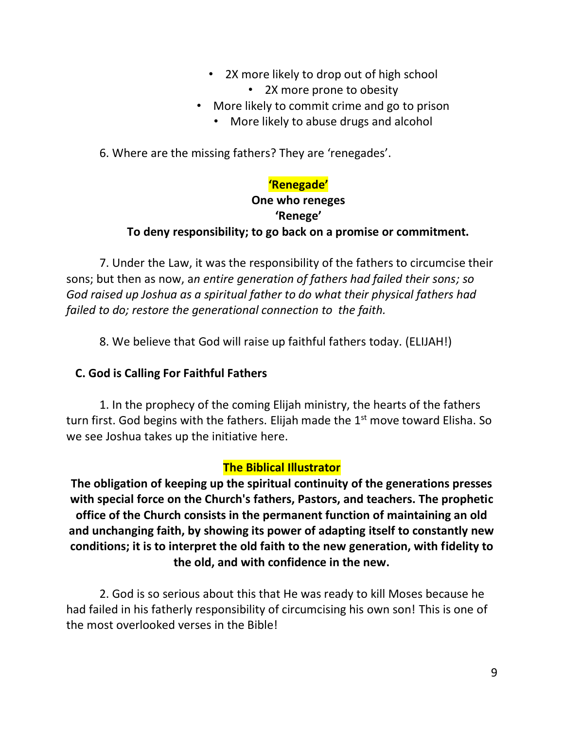- 2X more likely to drop out of high school • 2X more prone to obesity
- More likely to commit crime and go to prison
	- More likely to abuse drugs and alcohol

6. Where are the missing fathers? They are 'renegades'.

# **'Renegade'**

# **One who reneges 'Renege' To deny responsibility; to go back on a promise or commitment.**

7. Under the Law, it was the responsibility of the fathers to circumcise their sons; but then as now, a*n entire generation of fathers had failed their sons; so God raised up Joshua as a spiritual father to do what their physical fathers had failed to do; restore the generational connection to the faith.*

8. We believe that God will raise up faithful fathers today. (ELIJAH!)

# **C. God is Calling For Faithful Fathers**

1. In the prophecy of the coming Elijah ministry, the hearts of the fathers turn first. God begins with the fathers. Elijah made the  $1<sup>st</sup>$  move toward Elisha. So we see Joshua takes up the initiative here.

# **The Biblical Illustrator**

**The obligation of keeping up the spiritual continuity of the generations presses with special force on the Church's fathers, Pastors, and teachers. The prophetic office of the Church consists in the permanent function of maintaining an old and unchanging faith, by showing its power of adapting itself to constantly new conditions; it is to interpret the old faith to the new generation, with fidelity to the old, and with confidence in the new.** 

2. God is so serious about this that He was ready to kill Moses because he had failed in his fatherly responsibility of circumcising his own son! This is one of the most overlooked verses in the Bible!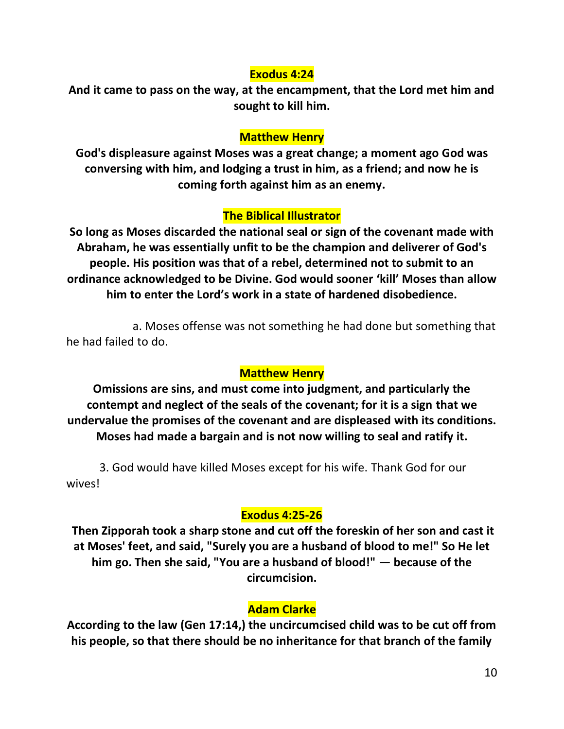#### **Exodus 4:24**

**And it came to pass on the way, at the encampment, that the Lord met him and sought to kill him.**

### **Matthew Henry**

**God's displeasure against Moses was a great change; a moment ago God was conversing with him, and lodging a trust in him, as a friend; and now he is coming forth against him as an enemy.** 

### **The Biblical Illustrator**

**So long as Moses discarded the national seal or sign of the covenant made with Abraham, he was essentially unfit to be the champion and deliverer of God's people. His position was that of a rebel, determined not to submit to an ordinance acknowledged to be Divine. God would sooner 'kill' Moses than allow him to enter the Lord's work in a state of hardened disobedience.** 

a. Moses offense was not something he had done but something that he had failed to do.

#### **Matthew Henry**

**Omissions are sins, and must come into judgment, and particularly the contempt and neglect of the seals of the covenant; for it is a sign that we undervalue the promises of the covenant and are displeased with its conditions. Moses had made a bargain and is not now willing to seal and ratify it.** 

3. God would have killed Moses except for his wife. Thank God for our wives!

#### **Exodus 4:25-26**

**Then Zipporah took a sharp stone and cut off the foreskin of her son and cast it at Moses' feet, and said, "Surely you are a husband of blood to me!" So He let him go. Then she said, "You are a husband of blood!" — because of the circumcision.** 

### **Adam Clarke**

**According to the law (Gen 17:14,) the uncircumcised child was to be cut off from his people, so that there should be no inheritance for that branch of the family**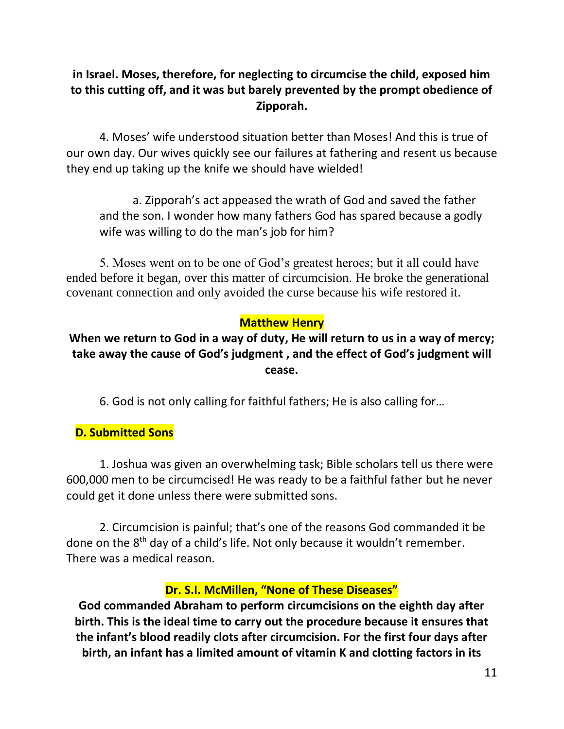# **in Israel. Moses, therefore, for neglecting to circumcise the child, exposed him to this cutting off, and it was but barely prevented by the prompt obedience of Zipporah.**

4. Moses' wife understood situation better than Moses! And this is true of our own day. Our wives quickly see our failures at fathering and resent us because they end up taking up the knife we should have wielded!

a. Zipporah's act appeased the wrath of God and saved the father and the son. I wonder how many fathers God has spared because a godly wife was willing to do the man's job for him?

5. Moses went on to be one of God's greatest heroes; but it all could have ended before it began, over this matter of circumcision. He broke the generational covenant connection and only avoided the curse because his wife restored it.

# **Matthew Henry**

# **When we return to God in a way of duty, He will return to us in a way of mercy; take away the cause of God's judgment , and the effect of God's judgment will cease.**

6. God is not only calling for faithful fathers; He is also calling for…

# **D. Submitted Sons**

1. Joshua was given an overwhelming task; Bible scholars tell us there were 600,000 men to be circumcised! He was ready to be a faithful father but he never could get it done unless there were submitted sons.

2. Circumcision is painful; that's one of the reasons God commanded it be done on the 8<sup>th</sup> day of a child's life. Not only because it wouldn't remember. There was a medical reason.

## **Dr. S.I. McMillen, "None of These Diseases"**

**God commanded Abraham to perform circumcisions on the eighth day after birth. This is the ideal time to carry out the procedure because it ensures that the infant's blood readily clots after circumcision. For the first four days after birth, an infant has a limited amount of vitamin K and clotting factors in its**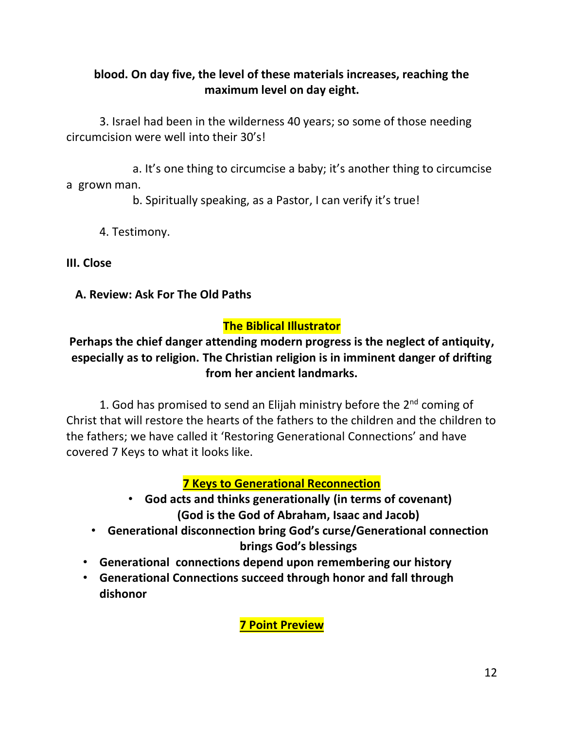# **blood. On day five, the level of these materials increases, reaching the maximum level on day eight.**

3. Israel had been in the wilderness 40 years; so some of those needing circumcision were well into their 30's!

a. It's one thing to circumcise a baby; it's another thing to circumcise a grown man.

b. Spiritually speaking, as a Pastor, I can verify it's true!

4. Testimony.

**III. Close**

 **A. Review: Ask For The Old Paths**

# **The Biblical Illustrator**

# **Perhaps the chief danger attending modern progress is the neglect of antiquity, especially as to religion. The Christian religion is in imminent danger of drifting from her ancient landmarks.**

1. God has promised to send an Elijah ministry before the  $2<sup>nd</sup>$  coming of Christ that will restore the hearts of the fathers to the children and the children to the fathers; we have called it 'Restoring Generational Connections' and have covered 7 Keys to what it looks like.

# **7 Keys to Generational Reconnection**

- **God acts and thinks generationally (in terms of covenant) (God is the God of Abraham, Isaac and Jacob)**
- **Generational disconnection bring God's curse/Generational connection brings God's blessings**
- **Generational connections depend upon remembering our history**
- **Generational Connections succeed through honor and fall through dishonor**

**7 Point Preview**